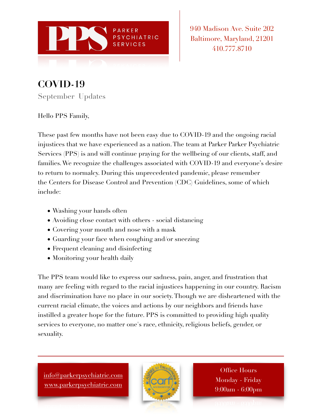

940 Madison Ave. Suite 202 Baltimore, Maryland, 21201 410.777.8710

**COVID-19**  September Updates

Hello PPS Family,

These past few months have not been easy due to COVID-19 and the ongoing racial injustices that we have experienced as a nation. The team at Parker Parker Psychiatric Services (PPS) is and will continue praying for the wellbeing of our clients, staff, and families. We recognize the challenges associated with COVID-19 and everyone's desire to return to normalcy. During this unprecedented pandemic, please remember the Centers for Disease Control and Prevention (CDC) Guidelines, some of which include:

- Washing your hands often
- Avoiding close contact with others social distancing
- Covering your mouth and nose with a mask
- Guarding your face when coughing and/or sneezing
- Frequent cleaning and disinfecting
- Monitoring your health daily

The PPS team would like to express our sadness, pain, anger, and frustration that many are feeling with regard to the racial injustices happening in our country. Racism and discrimination have no place in our society. Though we are disheartened with the current racial climate, the voices and actions by our neighbors and friends have instilled a greater hope for the future. PPS is committed to providing high quality services to everyone, no matter one's race, ethnicity, religious beliefs, gender, or sexuality.

[info@parkerpsychiatric.com](mailto:info@parkerpsychiatric.com) [www.parkerpsychiatric.com](http://www.parkerpsychiatric.com)



Office Hours Monday - Friday 9:00am - 6:00pm